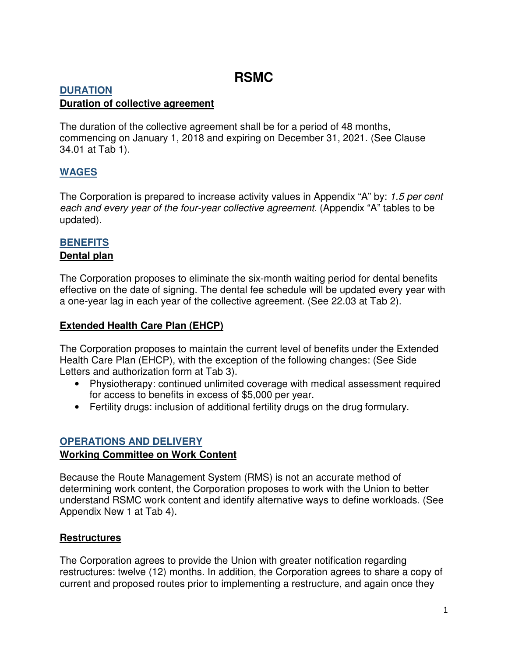# **RSMC**

### **DURATION Duration of collective agreement**

The duration of the collective agreement shall be for a period of 48 months, commencing on January 1, 2018 and expiring on December 31, 2021. (See Clause 34.01 at Tab 1).

# **WAGES**

The Corporation is prepared to increase activity values in Appendix "A" by: 1.5 per cent each and every year of the four-year collective agreement. (Appendix "A" tables to be updated).

# **BENEFITS**

## **Dental plan**

The Corporation proposes to eliminate the six-month waiting period for dental benefits effective on the date of signing. The dental fee schedule will be updated every year with a one-year lag in each year of the collective agreement. (See 22.03 at Tab 2).

# **Extended Health Care Plan (EHCP)**

The Corporation proposes to maintain the current level of benefits under the Extended Health Care Plan (EHCP), with the exception of the following changes: (See Side Letters and authorization form at Tab 3).

- Physiotherapy: continued unlimited coverage with medical assessment required for access to benefits in excess of \$5,000 per year.
- Fertility drugs: inclusion of additional fertility drugs on the drug formulary.

# **OPERATIONS AND DELIVERY**

## **Working Committee on Work Content**

Because the Route Management System (RMS) is not an accurate method of determining work content, the Corporation proposes to work with the Union to better understand RSMC work content and identify alternative ways to define workloads. (See Appendix New 1 at Tab 4).

## **Restructures**

The Corporation agrees to provide the Union with greater notification regarding restructures: twelve (12) months. In addition, the Corporation agrees to share a copy of current and proposed routes prior to implementing a restructure, and again once they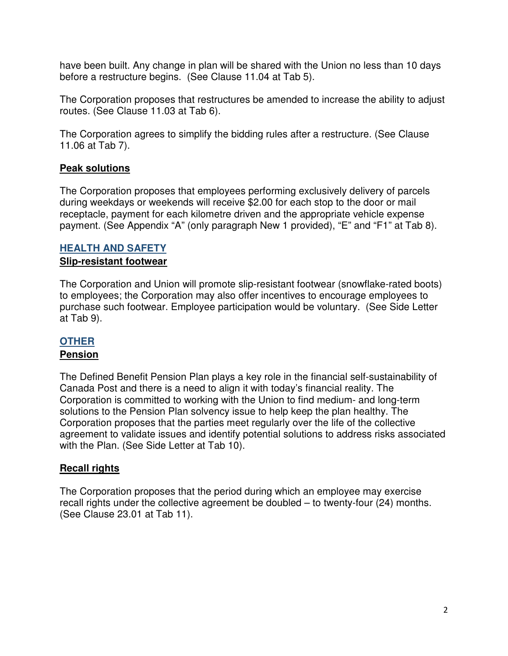have been built. Any change in plan will be shared with the Union no less than 10 days before a restructure begins. (See Clause 11.04 at Tab 5).

The Corporation proposes that restructures be amended to increase the ability to adjust routes. (See Clause 11.03 at Tab 6).

The Corporation agrees to simplify the bidding rules after a restructure. (See Clause 11.06 at Tab 7).

# **Peak solutions**

The Corporation proposes that employees performing exclusively delivery of parcels during weekdays or weekends will receive \$2.00 for each stop to the door or mail receptacle, payment for each kilometre driven and the appropriate vehicle expense payment. (See Appendix "A" (only paragraph New 1 provided), "E" and "F1" at Tab 8).

#### **HEALTH AND SAFETY Slip-resistant footwear**

The Corporation and Union will promote slip-resistant footwear (snowflake-rated boots) to employees; the Corporation may also offer incentives to encourage employees to purchase such footwear. Employee participation would be voluntary. (See Side Letter at Tab 9).

## **OTHER**

## **Pension**

The Defined Benefit Pension Plan plays a key role in the financial self-sustainability of Canada Post and there is a need to align it with today's financial reality. The Corporation is committed to working with the Union to find medium- and long-term solutions to the Pension Plan solvency issue to help keep the plan healthy. The Corporation proposes that the parties meet regularly over the life of the collective agreement to validate issues and identify potential solutions to address risks associated with the Plan. (See Side Letter at Tab 10).

## **Recall rights**

The Corporation proposes that the period during which an employee may exercise recall rights under the collective agreement be doubled – to twenty-four (24) months. (See Clause 23.01 at Tab 11).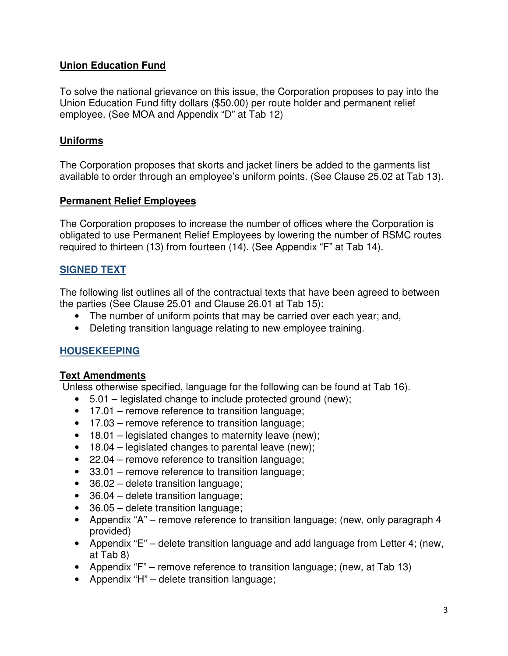# **Union Education Fund**

To solve the national grievance on this issue, the Corporation proposes to pay into the Union Education Fund fifty dollars (\$50.00) per route holder and permanent relief employee. (See MOA and Appendix "D" at Tab 12)

# **Uniforms**

The Corporation proposes that skorts and jacket liners be added to the garments list available to order through an employee's uniform points. (See Clause 25.02 at Tab 13).

## **Permanent Relief Employees**

The Corporation proposes to increase the number of offices where the Corporation is obligated to use Permanent Relief Employees by lowering the number of RSMC routes required to thirteen (13) from fourteen (14). (See Appendix "F" at Tab 14).

# **SIGNED TEXT**

The following list outlines all of the contractual texts that have been agreed to between the parties (See Clause 25.01 and Clause 26.01 at Tab 15):

- The number of uniform points that may be carried over each year; and,
- Deleting transition language relating to new employee training.

# **HOUSEKEEPING**

## **Text Amendments**

Unless otherwise specified, language for the following can be found at Tab 16).

- 5.01 legislated change to include protected ground (new);
- 17.01 remove reference to transition language;
- 17.03 remove reference to transition language;
- 18.01 legislated changes to maternity leave (new);
- 18.04 legislated changes to parental leave (new);
- 22.04 remove reference to transition language;
- 33.01 remove reference to transition language;
- 36.02 delete transition language;
- 36.04 delete transition language;
- 36.05 delete transition language;
- Appendix "A" remove reference to transition language; (new, only paragraph 4 provided)
- Appendix "E" delete transition language and add language from Letter 4; (new, at Tab 8)
- Appendix "F" remove reference to transition language; (new, at Tab 13)
- Appendix "H" delete transition language;